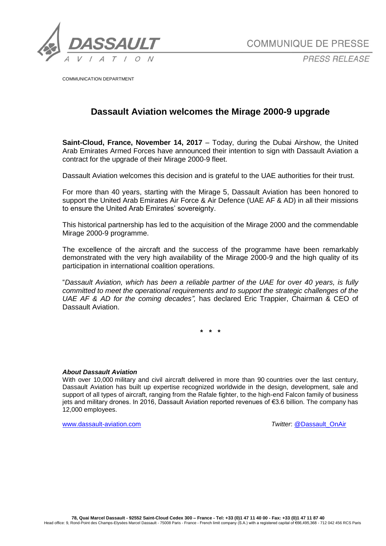

COMMUNIQUE DE PRESSE

**PRESS RELEASF** 

COMMUNICATION DEPARTMENT

## **Dassault Aviation welcomes the Mirage 2000-9 upgrade**

**Saint-Cloud, France, November 14, 2017** – Today, during the Dubai Airshow, the United Arab Emirates Armed Forces have announced their intention to sign with Dassault Aviation a contract for the upgrade of their Mirage 2000-9 fleet.

Dassault Aviation welcomes this decision and is grateful to the UAE authorities for their trust.

For more than 40 years, starting with the Mirage 5, Dassault Aviation has been honored to support the United Arab Emirates Air Force & Air Defence (UAE AF & AD) in all their missions to ensure the United Arab Emirates' sovereignty.

This historical partnership has led to the acquisition of the Mirage 2000 and the commendable Mirage 2000-9 programme.

The excellence of the aircraft and the success of the programme have been remarkably demonstrated with the very high availability of the Mirage 2000-9 and the high quality of its participation in international coalition operations.

"*Dassault Aviation, which has been a reliable partner of the UAE for over 40 years, is fully committed to meet the operational requirements and to support the strategic challenges of the UAE AF & AD for the coming decades",* has declared Eric Trappier, Chairman & CEO of Dassault Aviation.

**\* \* \***

## *About Dassault Aviation*

With over 10,000 military and civil aircraft delivered in more than 90 countries over the last century, Dassault Aviation has built up expertise recognized worldwide in the design, development, sale and support of all types of aircraft, ranging from the Rafale fighter, to the high-end Falcon family of business jets and military drones. In 2016, Dassault Aviation reported revenues of €3.6 billion. The company has 12,000 employees.

[www.dassault-aviation.com](http://www.dassault-aviation.com/) *Twitter***: @Dassault\_OnAir**